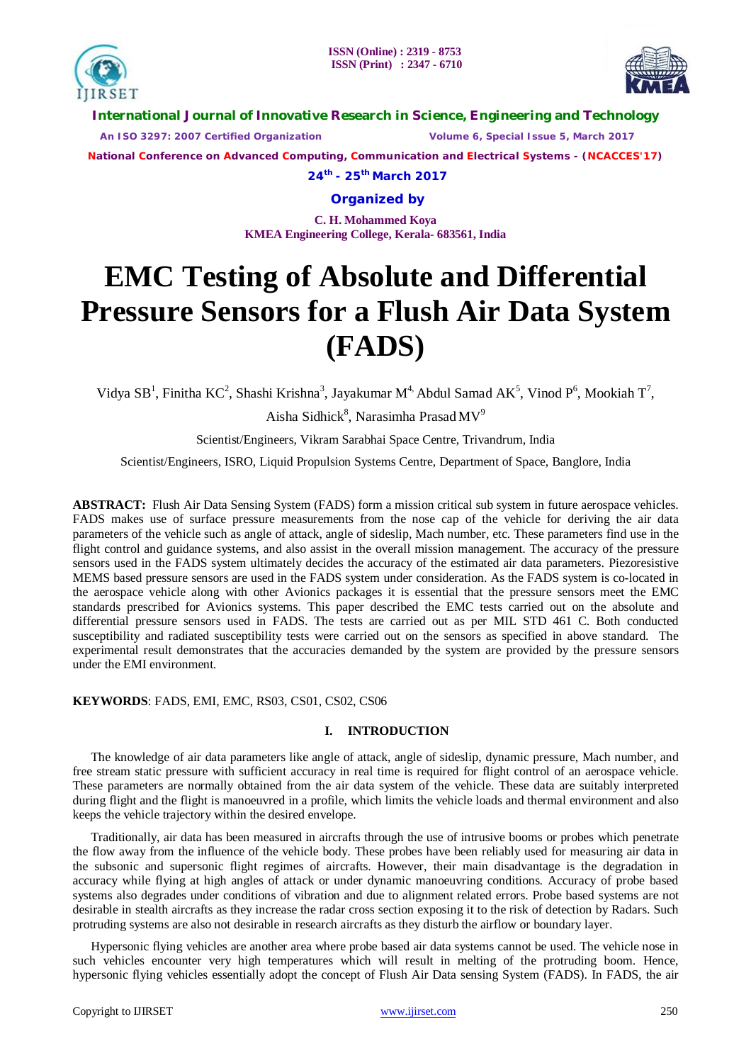



**International Journal of Innovative Research in Science, Engineering and Technology**

 *An ISO 3297: 2007 Certified Organization Volume 6, Special Issue 5, March 2017*

**National Conference on Advanced Computing, Communication and Electrical Systems - (NCACCES'17)**

**24th - 25th March 2017**

**Organized by**

**C. H. Mohammed Koya KMEA Engineering College, Kerala- 683561, India** 

# **EMC Testing of Absolute and Differential Pressure Sensors for a Flush Air Data System (FADS)**

Vidya SB<sup>1</sup>, Finitha KC<sup>2</sup>, Shashi Krishna<sup>3</sup>, Jayakumar M<sup>4,</sup> Abdul Samad AK<sup>5</sup>, Vinod P<sup>6</sup>, Mookiah T<sup>7</sup>,

Aisha Sidhick $^8$ , Narasimha Prasad MV $^9$ 

Scientist/Engineers, Vikram Sarabhai Space Centre, Trivandrum, India

Scientist/Engineers, ISRO, Liquid Propulsion Systems Centre, Department of Space, Banglore, India

**ABSTRACT:** Flush Air Data Sensing System (FADS) form a mission critical sub system in future aerospace vehicles. FADS makes use of surface pressure measurements from the nose cap of the vehicle for deriving the air data parameters of the vehicle such as angle of attack, angle of sideslip, Mach number, etc. These parameters find use in the flight control and guidance systems, and also assist in the overall mission management. The accuracy of the pressure sensors used in the FADS system ultimately decides the accuracy of the estimated air data parameters. Piezoresistive MEMS based pressure sensors are used in the FADS system under consideration. As the FADS system is co-located in the aerospace vehicle along with other Avionics packages it is essential that the pressure sensors meet the EMC standards prescribed for Avionics systems. This paper described the EMC tests carried out on the absolute and differential pressure sensors used in FADS. The tests are carried out as per MIL STD 461 C. Both conducted susceptibility and radiated susceptibility tests were carried out on the sensors as specified in above standard. The experimental result demonstrates that the accuracies demanded by the system are provided by the pressure sensors under the EMI environment.

**KEYWORDS**: FADS, EMI, EMC, RS03, CS01, CS02, CS06

# **I. INTRODUCTION**

 The knowledge of air data parameters like angle of attack, angle of sideslip, dynamic pressure, Mach number, and free stream static pressure with sufficient accuracy in real time is required for flight control of an aerospace vehicle. These parameters are normally obtained from the air data system of the vehicle. These data are suitably interpreted during flight and the flight is manoeuvred in a profile, which limits the vehicle loads and thermal environment and also keeps the vehicle trajectory within the desired envelope.

Traditionally, air data has been measured in aircrafts through the use of intrusive booms or probes which penetrate the flow away from the influence of the vehicle body. These probes have been reliably used for measuring air data in the subsonic and supersonic flight regimes of aircrafts. However, their main disadvantage is the degradation in accuracy while flying at high angles of attack or under dynamic manoeuvring conditions. Accuracy of probe based systems also degrades under conditions of vibration and due to alignment related errors. Probe based systems are not desirable in stealth aircrafts as they increase the radar cross section exposing it to the risk of detection by Radars. Such protruding systems are also not desirable in research aircrafts as they disturb the airflow or boundary layer.

Hypersonic flying vehicles are another area where probe based air data systems cannot be used. The vehicle nose in such vehicles encounter very high temperatures which will result in melting of the protruding boom. Hence, hypersonic flying vehicles essentially adopt the concept of Flush Air Data sensing System (FADS). In FADS, the air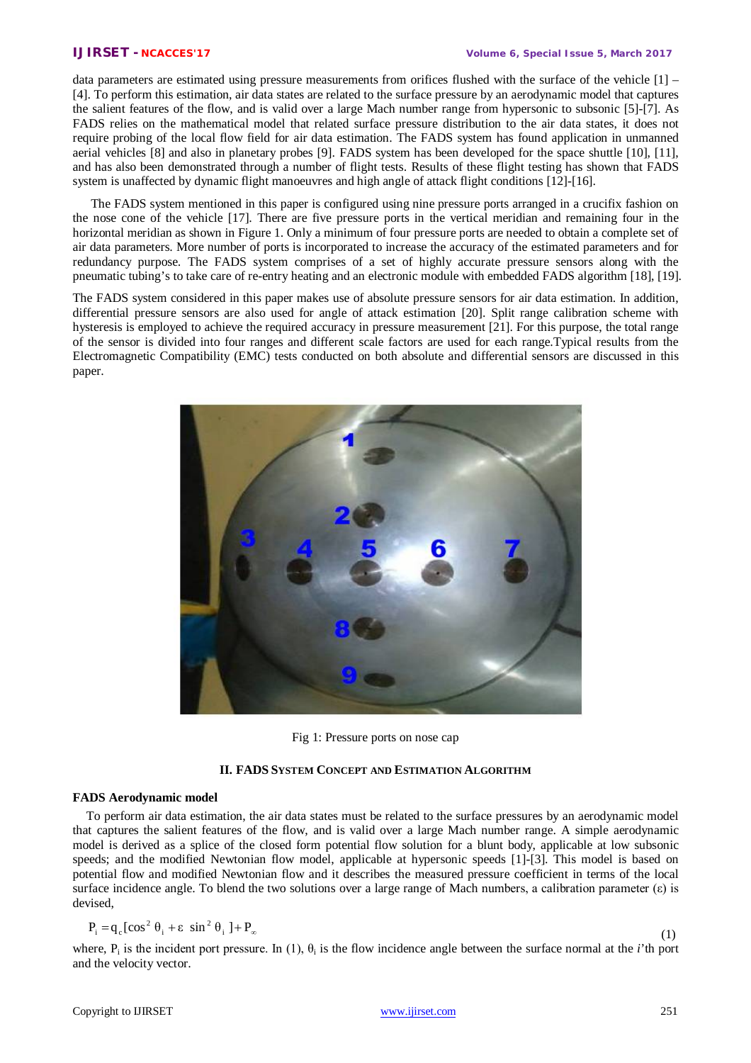data parameters are estimated using pressure measurements from orifices flushed with the surface of the vehicle  $[1]$  – [4]. To perform this estimation, air data states are related to the surface pressure by an aerodynamic model that captures the salient features of the flow, and is valid over a large Mach number range from hypersonic to subsonic [5]-[7]. As FADS relies on the mathematical model that related surface pressure distribution to the air data states, it does not require probing of the local flow field for air data estimation. The FADS system has found application in unmanned aerial vehicles [8] and also in planetary probes [9]. FADS system has been developed for the space shuttle [10], [11], and has also been demonstrated through a number of flight tests. Results of these flight testing has shown that FADS system is unaffected by dynamic flight manoeuvres and high angle of attack flight conditions [12]-[16].

The FADS system mentioned in this paper is configured using nine pressure ports arranged in a crucifix fashion on the nose cone of the vehicle [17]. There are five pressure ports in the vertical meridian and remaining four in the horizontal meridian as shown in Figure 1. Only a minimum of four pressure ports are needed to obtain a complete set of air data parameters. More number of ports is incorporated to increase the accuracy of the estimated parameters and for redundancy purpose. The FADS system comprises of a set of highly accurate pressure sensors along with the pneumatic tubing's to take care of re-entry heating and an electronic module with embedded FADS algorithm [18], [19].

The FADS system considered in this paper makes use of absolute pressure sensors for air data estimation. In addition, differential pressure sensors are also used for angle of attack estimation [20]. Split range calibration scheme with hysteresis is employed to achieve the required accuracy in pressure measurement [21]. For this purpose, the total range of the sensor is divided into four ranges and different scale factors are used for each range.Typical results from the Electromagnetic Compatibility (EMC) tests conducted on both absolute and differential sensors are discussed in this paper.



Fig 1: Pressure ports on nose cap

# **II. FADS SYSTEM CONCEPT AND ESTIMATION ALGORITHM**

### **FADS Aerodynamic model**

To perform air data estimation, the air data states must be related to the surface pressures by an aerodynamic model that captures the salient features of the flow, and is valid over a large Mach number range. A simple aerodynamic model is derived as a splice of the closed form potential flow solution for a blunt body, applicable at low subsonic speeds; and the modified Newtonian flow model, applicable at hypersonic speeds [1]-[3]. This model is based on potential flow and modified Newtonian flow and it describes the measured pressure coefficient in terms of the local surface incidence angle. To blend the two solutions over a large range of Mach numbers, a calibration parameter  $(\epsilon)$  is devised,

$$
P_i = q_c [\cos^2 \theta_i + \varepsilon \sin^2 \theta_i] + P_{\infty}
$$

(1)

where,  $P_i$  is the incident port pressure. In (1),  $\theta_i$  is the flow incidence angle between the surface normal at the *i*'th port and the velocity vector.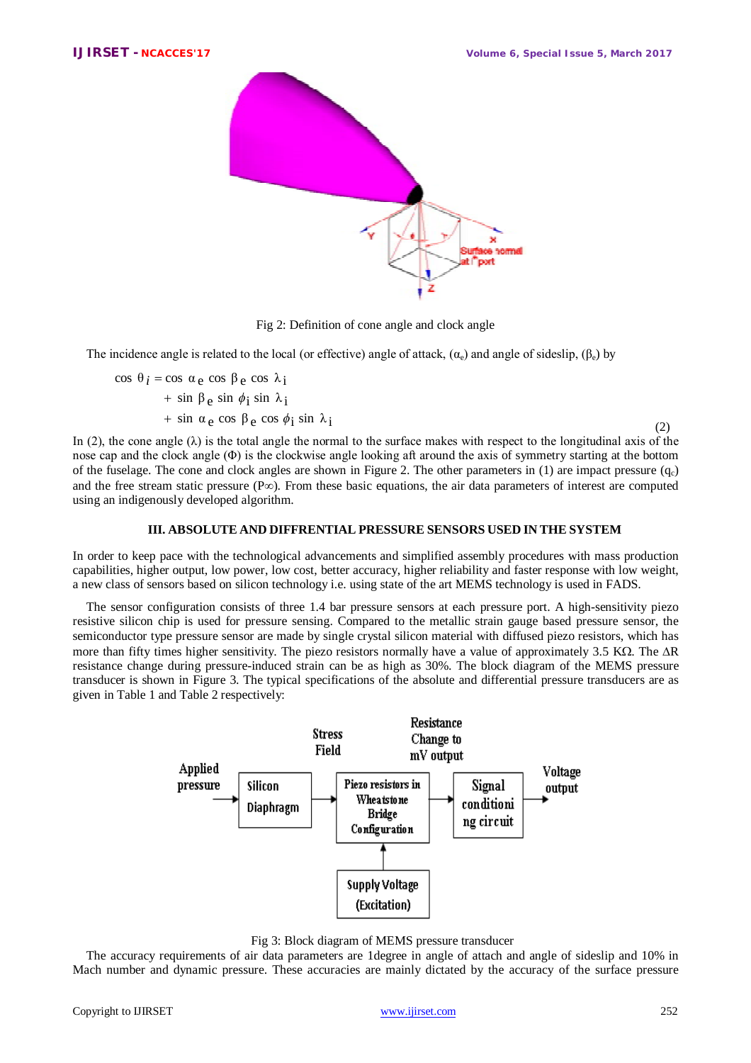

Fig 2: Definition of cone angle and clock angle

The incidence angle is related to the local (or effective) angle of attack,  $(\alpha_{\circ})$  and angle of sideslip,  $(\beta_{\circ})$  by

 $+ \sin \alpha_e \cos \beta_e \cos \phi_i \sin \lambda_i$  $+ \sin \beta_e \sin \phi_i \sin \lambda_i$ cos  $\theta_i = \cos \alpha_e \cos \beta_e \cos \lambda_i$ 

 $\cos \phi_1 \sin \theta_1$  (2) In (2), the cone angle ( $\lambda$ ) is the total angle the normal to the surface makes with respect to the longitudinal axis of the nose cap and the clock angle (Φ) is the clockwise angle looking aft around the axis of symmetry starting at the bottom of the fuselage. The cone and clock angles are shown in Figure 2. The other parameters in (1) are impact pressure  $(q_c)$ and the free stream static pressure ( $P\infty$ ). From these basic equations, the air data parameters of interest are computed using an indigenously developed algorithm.

# **III. ABSOLUTE AND DIFFRENTIAL PRESSURE SENSORS USED IN THE SYSTEM**

In order to keep pace with the technological advancements and simplified assembly procedures with mass production capabilities, higher output, low power, low cost, better accuracy, higher reliability and faster response with low weight, a new class of sensors based on silicon technology i.e. using state of the art MEMS technology is used in FADS.

The sensor configuration consists of three 1.4 bar pressure sensors at each pressure port. A high-sensitivity piezo resistive silicon chip is used for pressure sensing. Compared to the metallic strain gauge based pressure sensor, the semiconductor type pressure sensor are made by single crystal silicon material with diffused piezo resistors, which has more than fifty times higher sensitivity. The piezo resistors normally have a value of approximately  $3.5 \text{ K}\Omega$ . The  $\Delta R$ resistance change during pressure-induced strain can be as high as 30%. The block diagram of the MEMS pressure transducer is shown in Figure 3. The typical specifications of the absolute and differential pressure transducers are as given in Table 1 and Table 2 respectively:



Fig 3: Block diagram of MEMS pressure transducer

The accuracy requirements of air data parameters are 1degree in angle of attach and angle of sideslip and 10% in Mach number and dynamic pressure. These accuracies are mainly dictated by the accuracy of the surface pressure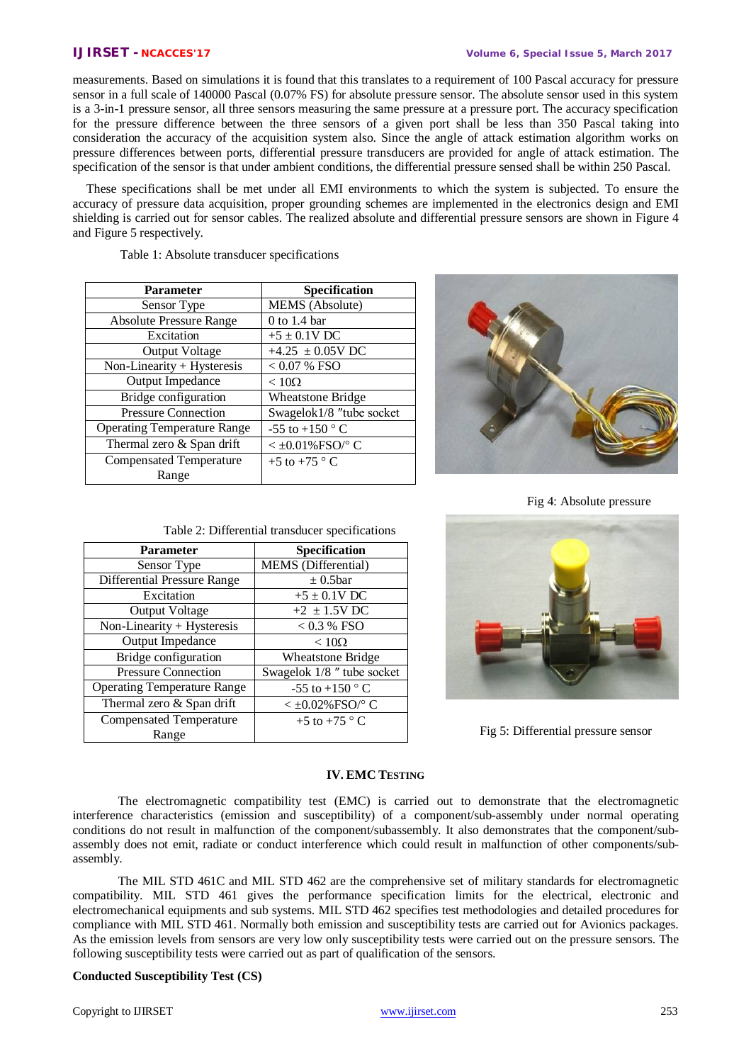measurements. Based on simulations it is found that this translates to a requirement of 100 Pascal accuracy for pressure sensor in a full scale of 140000 Pascal (0.07% FS) for absolute pressure sensor. The absolute sensor used in this system is a 3-in-1 pressure sensor, all three sensors measuring the same pressure at a pressure port. The accuracy specification for the pressure difference between the three sensors of a given port shall be less than 350 Pascal taking into consideration the accuracy of the acquisition system also. Since the angle of attack estimation algorithm works on pressure differences between ports, differential pressure transducers are provided for angle of attack estimation. The specification of the sensor is that under ambient conditions, the differential pressure sensed shall be within 250 Pascal.

These specifications shall be met under all EMI environments to which the system is subjected. To ensure the accuracy of pressure data acquisition, proper grounding schemes are implemented in the electronics design and EMI shielding is carried out for sensor cables. The realized absolute and differential pressure sensors are shown in Figure 4 and Figure 5 respectively.

| <b>Parameter</b>                   | Specification            |  |  |  |
|------------------------------------|--------------------------|--|--|--|
| Sensor Type                        | MEMS (Absolute)          |  |  |  |
| <b>Absolute Pressure Range</b>     | $0$ to 1.4 bar           |  |  |  |
| Excitation                         | $+5 \pm 0.1 \text{V}$ DC |  |  |  |
| <b>Output Voltage</b>              | +4.25 $\pm$ 0.05V DC     |  |  |  |
| Non-Linearity + Hysteresis         | $< 0.07 %$ FSO           |  |  |  |
| Output Impedance                   | $< 10\Omega$             |  |  |  |
| Bridge configuration               | <b>Wheatstone Bridge</b> |  |  |  |
| <b>Pressure Connection</b>         | Swagelok1/8 "tube socket |  |  |  |
| <b>Operating Temperature Range</b> | $-55$ to $+150$ ° C      |  |  |  |
| Thermal zero & Span drift          | $<$ ±0.01% FSO/° C       |  |  |  |
| <b>Compensated Temperature</b>     | $+5$ to $+75$ ° C        |  |  |  |
| Range                              |                          |  |  |  |

Table 1: Absolute transducer specifications



Fig 4: Absolute pressure

| <b>Parameter</b>                   | Specification              |  |  |
|------------------------------------|----------------------------|--|--|
| Sensor Type                        | MEMS (Differential)        |  |  |
| Differential Pressure Range        | $\pm$ 0.5bar               |  |  |
| Excitation                         | $+5 \pm 0.1$ V DC          |  |  |
| <b>Output Voltage</b>              | $+2 \pm 1.5V$ DC           |  |  |
| Non-Linearity + Hysteresis         | $< 0.3 %$ FSO              |  |  |
| Output Impedance                   | $< 10\Omega$               |  |  |
| Bridge configuration               | <b>Wheatstone Bridge</b>   |  |  |
| <b>Pressure Connection</b>         | Swagelok 1/8 " tube socket |  |  |
| <b>Operating Temperature Range</b> | $-55$ to $+150$ ° C        |  |  |
| Thermal zero & Span drift          | $<$ ±0.02% FSO/° C         |  |  |
| <b>Compensated Temperature</b>     | $+5$ to $+75$ ° C          |  |  |
| Range                              |                            |  |  |



Fig 5: Differential pressure sensor

# **IV. EMC TESTING**

The electromagnetic compatibility test (EMC) is carried out to demonstrate that the electromagnetic interference characteristics (emission and susceptibility) of a component/sub-assembly under normal operating conditions do not result in malfunction of the component/subassembly. It also demonstrates that the component/subassembly does not emit, radiate or conduct interference which could result in malfunction of other components/subassembly.

The MIL STD 461C and MIL STD 462 are the comprehensive set of military standards for electromagnetic compatibility. MIL STD 461 gives the performance specification limits for the electrical, electronic and electromechanical equipments and sub systems. MIL STD 462 specifies test methodologies and detailed procedures for compliance with MIL STD 461. Normally both emission and susceptibility tests are carried out for Avionics packages. As the emission levels from sensors are very low only susceptibility tests were carried out on the pressure sensors. The following susceptibility tests were carried out as part of qualification of the sensors.

# **Conducted Susceptibility Test (CS)**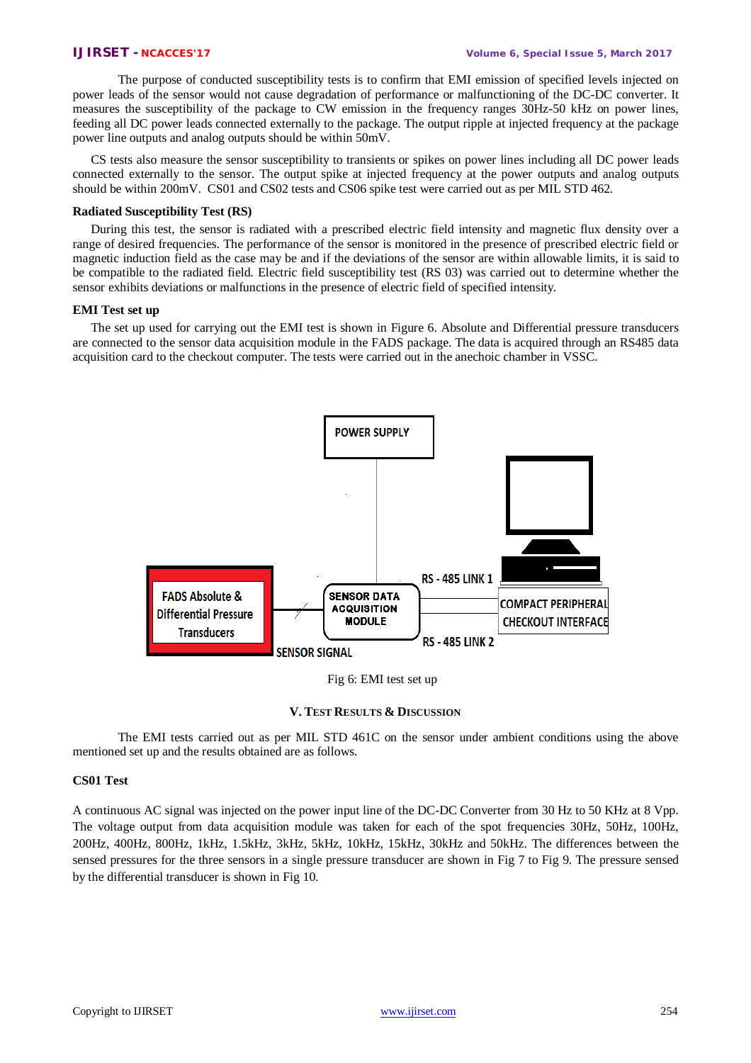The purpose of conducted susceptibility tests is to confirm that EMI emission of specified levels injected on power leads of the sensor would not cause degradation of performance or malfunctioning of the DC-DC converter. It measures the susceptibility of the package to CW emission in the frequency ranges 30Hz-50 kHz on power lines, feeding all DC power leads connected externally to the package. The output ripple at injected frequency at the package power line outputs and analog outputs should be within 50mV.

CS tests also measure the sensor susceptibility to transients or spikes on power lines including all DC power leads connected externally to the sensor. The output spike at injected frequency at the power outputs and analog outputs should be within 200mV. CS01 and CS02 tests and CS06 spike test were carried out as per MIL STD 462.

### **Radiated Susceptibility Test (RS)**

During this test, the sensor is radiated with a prescribed electric field intensity and magnetic flux density over a range of desired frequencies. The performance of the sensor is monitored in the presence of prescribed electric field or magnetic induction field as the case may be and if the deviations of the sensor are within allowable limits, it is said to be compatible to the radiated field. Electric field susceptibility test (RS 03) was carried out to determine whether the sensor exhibits deviations or malfunctions in the presence of electric field of specified intensity.

### **EMI Test set up**

The set up used for carrying out the EMI test is shown in Figure 6. Absolute and Differential pressure transducers are connected to the sensor data acquisition module in the FADS package. The data is acquired through an RS485 data acquisition card to the checkout computer. The tests were carried out in the anechoic chamber in VSSC.



Fig 6: EMI test set up

### **V. TEST RESULTS & DISCUSSION**

The EMI tests carried out as per MIL STD 461C on the sensor under ambient conditions using the above mentioned set up and the results obtained are as follows.

# **CS01 Test**

A continuous AC signal was injected on the power input line of the DC-DC Converter from 30 Hz to 50 KHz at 8 Vpp. The voltage output from data acquisition module was taken for each of the spot frequencies 30Hz, 50Hz, 100Hz, 200Hz, 400Hz, 800Hz, 1kHz, 1.5kHz, 3kHz, 5kHz, 10kHz, 15kHz, 30kHz and 50kHz. The differences between the sensed pressures for the three sensors in a single pressure transducer are shown in Fig 7 to Fig 9. The pressure sensed by the differential transducer is shown in Fig 10.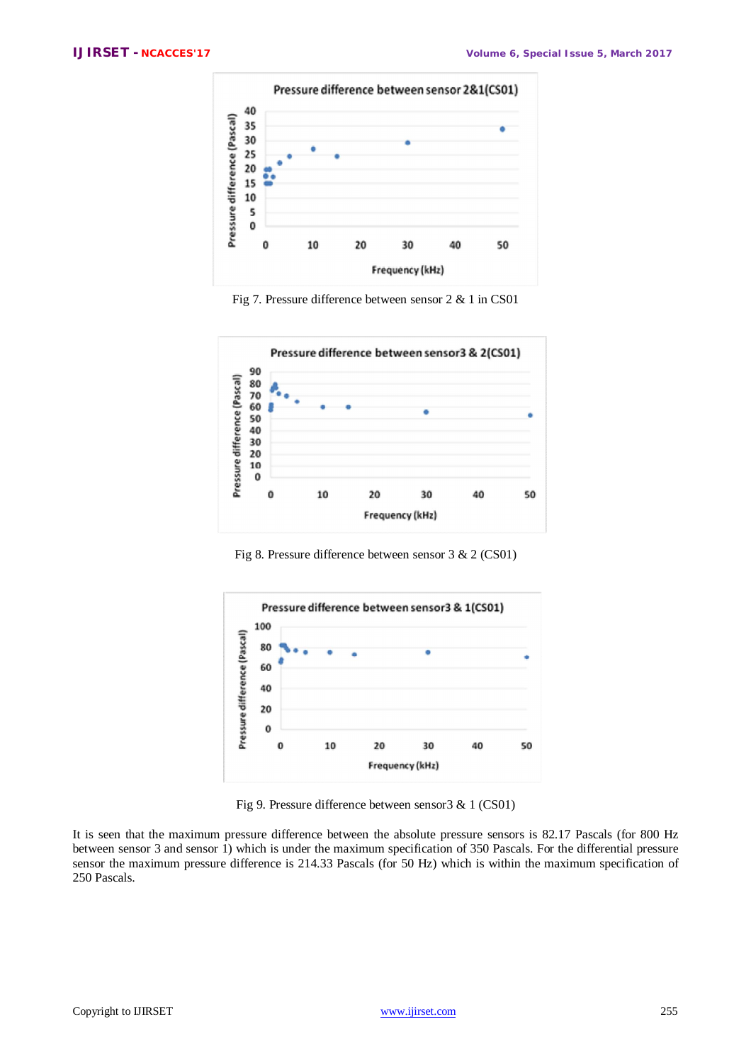

Fig 7. Pressure difference between sensor 2 & 1 in CS01



Fig 8. Pressure difference between sensor 3 & 2 (CS01)



Fig 9. Pressure difference between sensor3 & 1 (CS01)

It is seen that the maximum pressure difference between the absolute pressure sensors is 82.17 Pascals (for 800 Hz between sensor 3 and sensor 1) which is under the maximum specification of 350 Pascals. For the differential pressure sensor the maximum pressure difference is 214.33 Pascals (for 50 Hz) which is within the maximum specification of 250 Pascals.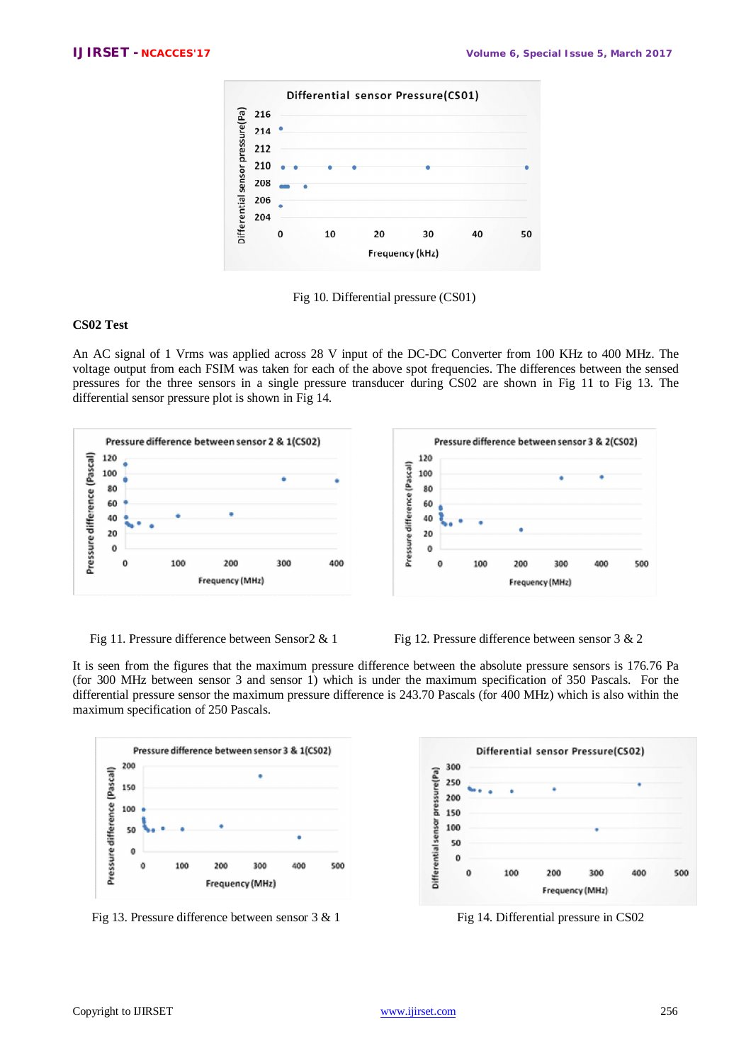

Fig 10. Differential pressure (CS01)

# **CS02 Test**

An AC signal of 1 Vrms was applied across 28 V input of the DC-DC Converter from 100 KHz to 400 MHz. The voltage output from each FSIM was taken for each of the above spot frequencies. The differences between the sensed pressures for the three sensors in a single pressure transducer during CS02 are shown in Fig 11 to Fig 13. The differential sensor pressure plot is shown in Fig 14.





It is seen from the figures that the maximum pressure difference between the absolute pressure sensors is 176.76 Pa (for 300 MHz between sensor 3 and sensor 1) which is under the maximum specification of 350 Pascals. For the differential pressure sensor the maximum pressure difference is 243.70 Pascals (for 400 MHz) which is also within the maximum specification of 250 Pascals.



Fig 13. Pressure difference between sensor  $3 \& 1$  Fig 14. Differential pressure in CS02

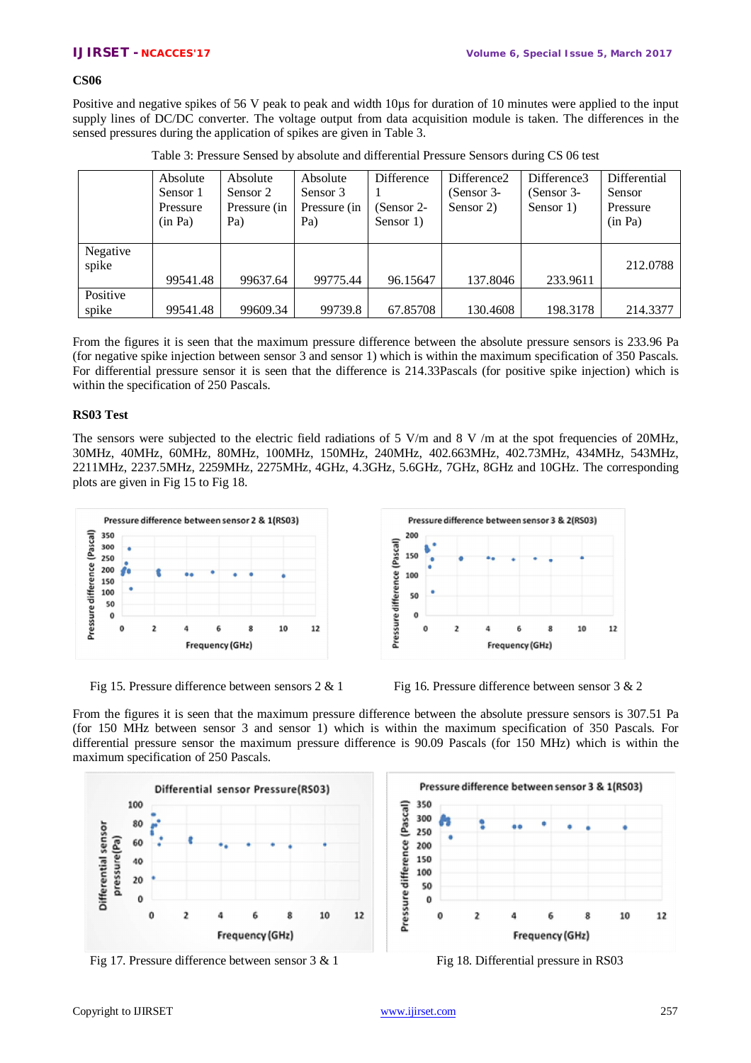# **CS06**

Positive and negative spikes of 56 V peak to peak and width 10µs for duration of 10 minutes were applied to the input supply lines of DC/DC converter. The voltage output from data acquisition module is taken. The differences in the sensed pressures during the application of spikes are given in Table 3.

|          | Absolute | Absolute     | Absolute     | Difference   | Difference2  | Difference3  | Differential |
|----------|----------|--------------|--------------|--------------|--------------|--------------|--------------|
|          | Sensor 1 | Sensor 2     | Sensor 3     |              | $(Sensor 3-$ | $(Sensor 3-$ | Sensor       |
|          | Pressure | Pressure (in | Pressure (in | $(Sensor 2-$ | Sensor 2)    | Sensor 1)    | Pressure     |
|          | (in Pa)  | Pa)          | Pa)          | Sensor 1)    |              |              | (in Pa)      |
|          |          |              |              |              |              |              |              |
| Negative |          |              |              |              |              |              |              |
| spike    |          |              |              |              |              |              | 212.0788     |
|          | 99541.48 | 99637.64     | 99775.44     | 96.15647     | 137.8046     | 233.9611     |              |
| Positive |          |              |              |              |              |              |              |
| spike    | 99541.48 | 99609.34     | 99739.8      | 67.85708     | 130.4608     | 198.3178     | 214.3377     |

| Table 3: Pressure Sensed by absolute and differential Pressure Sensors during CS 06 test |  |  |  |  |
|------------------------------------------------------------------------------------------|--|--|--|--|
|------------------------------------------------------------------------------------------|--|--|--|--|

From the figures it is seen that the maximum pressure difference between the absolute pressure sensors is 233.96 Pa (for negative spike injection between sensor 3 and sensor 1) which is within the maximum specification of 350 Pascals. For differential pressure sensor it is seen that the difference is 214.33Pascals (for positive spike injection) which is within the specification of 250 Pascals.

# **RS03 Test**

The sensors were subjected to the electric field radiations of 5 V/m and 8 V/m at the spot frequencies of 20MHz, 30MHz, 40MHz, 60MHz, 80MHz, 100MHz, 150MHz, 240MHz, 402.663MHz, 402.73MHz, 434MHz, 543MHz, 2211MHz, 2237.5MHz, 2259MHz, 2275MHz, 4GHz, 4.3GHz, 5.6GHz, 7GHz, 8GHz and 10GHz. The corresponding plots are given in Fig 15 to Fig 18.



Pressure difference between sensor 3 & 2(RS03) 200 Pressure difference (Pascal) 150 100 50 ċ  $\overline{z}$ 10  $12$ O ś Frequency (GHz)



From the figures it is seen that the maximum pressure difference between the absolute pressure sensors is 307.51 Pa (for 150 MHz between sensor 3 and sensor 1) which is within the maximum specification of 350 Pascals. For differential pressure sensor the maximum pressure difference is 90.09 Pascals (for 150 MHz) which is within the maximum specification of 250 Pascals.



Fig 17. Pressure difference between sensor  $3 \& 1$  Fig 18. Differential pressure in RS03